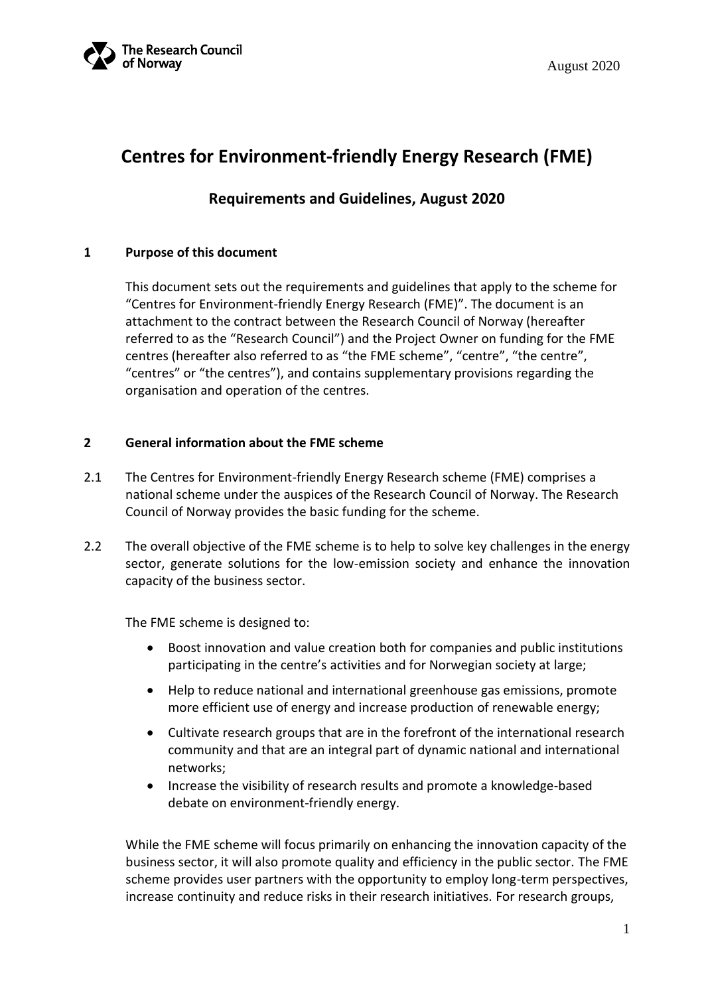

# **Centres for Environment-friendly Energy Research (FME)**

### **Requirements and Guidelines, August 2020**

#### **1 Purpose of this document**

This document sets out the requirements and guidelines that apply to the scheme for "Centres for Environment-friendly Energy Research (FME)". The document is an attachment to the contract between the Research Council of Norway (hereafter referred to as the "Research Council") and the Project Owner on funding for the FME centres (hereafter also referred to as "the FME scheme", "centre", "the centre", "centres" or "the centres"), and contains supplementary provisions regarding the organisation and operation of the centres.

#### **2 General information about the FME scheme**

- 2.1 The Centres for Environment-friendly Energy Research scheme (FME) comprises a national scheme under the auspices of the Research Council of Norway. The Research Council of Norway provides the basic funding for the scheme.
- 2.2 The overall objective of the FME scheme is to help to solve key challenges in the energy sector, generate solutions for the low-emission society and enhance the innovation capacity of the business sector.

The FME scheme is designed to:

- Boost innovation and value creation both for companies and public institutions participating in the centre's activities and for Norwegian society at large;
- Help to reduce national and international greenhouse gas emissions, promote more efficient use of energy and increase production of renewable energy;
- Cultivate research groups that are in the forefront of the international research community and that are an integral part of dynamic national and international networks;
- Increase the visibility of research results and promote a knowledge-based debate on environment-friendly energy.

While the FME scheme will focus primarily on enhancing the innovation capacity of the business sector, it will also promote quality and efficiency in the public sector. The FME scheme provides user partners with the opportunity to employ long-term perspectives, increase continuity and reduce risks in their research initiatives. For research groups,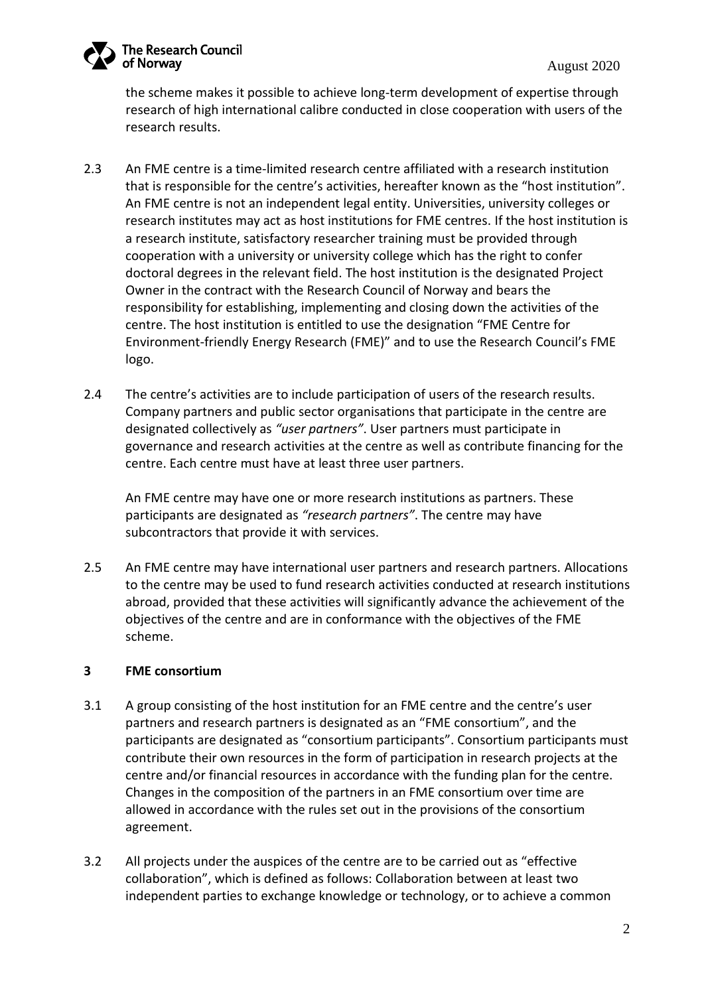

the scheme makes it possible to achieve long-term development of expertise through research of high international calibre conducted in close cooperation with users of the research results.

- 2.3 An FME centre is a time-limited research centre affiliated with a research institution that is responsible for the centre's activities, hereafter known as the "host institution". An FME centre is not an independent legal entity. Universities, university colleges or research institutes may act as host institutions for FME centres. If the host institution is a research institute, satisfactory researcher training must be provided through cooperation with a university or university college which has the right to confer doctoral degrees in the relevant field. The host institution is the designated Project Owner in the contract with the Research Council of Norway and bears the responsibility for establishing, implementing and closing down the activities of the centre. The host institution is entitled to use the designation "FME Centre for Environment-friendly Energy Research (FME)" and to use the Research Council's FME logo.
- 2.4 The centre's activities are to include participation of users of the research results. Company partners and public sector organisations that participate in the centre are designated collectively as *"user partners"*. User partners must participate in governance and research activities at the centre as well as contribute financing for the centre. Each centre must have at least three user partners.

An FME centre may have one or more research institutions as partners. These participants are designated as *"research partners"*. The centre may have subcontractors that provide it with services.

2.5 An FME centre may have international user partners and research partners. Allocations to the centre may be used to fund research activities conducted at research institutions abroad, provided that these activities will significantly advance the achievement of the objectives of the centre and are in conformance with the objectives of the FME scheme.

#### **3 FME consortium**

- 3.1 A group consisting of the host institution for an FME centre and the centre's user partners and research partners is designated as an "FME consortium", and the participants are designated as "consortium participants". Consortium participants must contribute their own resources in the form of participation in research projects at the centre and/or financial resources in accordance with the funding plan for the centre. Changes in the composition of the partners in an FME consortium over time are allowed in accordance with the rules set out in the provisions of the consortium agreement.
- 3.2 All projects under the auspices of the centre are to be carried out as "effective collaboration", which is defined as follows: Collaboration between at least two independent parties to exchange knowledge or technology, or to achieve a common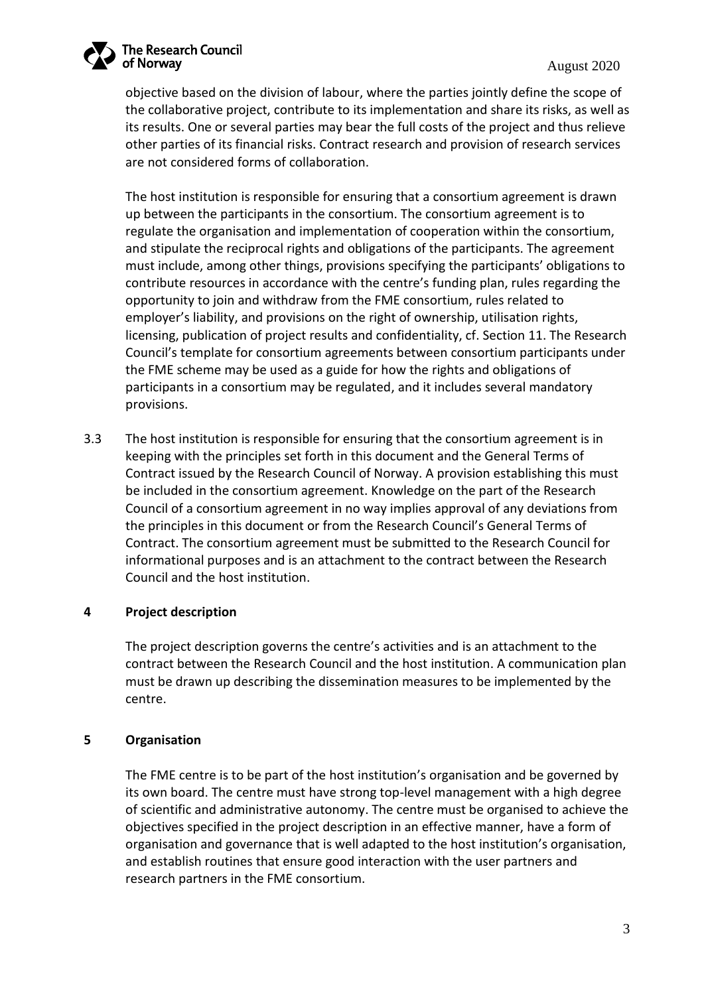

objective based on the division of labour, where the parties jointly define the scope of the collaborative project, contribute to its implementation and share its risks, as well as its results. One or several parties may bear the full costs of the project and thus relieve other parties of its financial risks. Contract research and provision of research services are not considered forms of collaboration.

The host institution is responsible for ensuring that a consortium agreement is drawn up between the participants in the consortium. The consortium agreement is to regulate the organisation and implementation of cooperation within the consortium, and stipulate the reciprocal rights and obligations of the participants. The agreement must include, among other things, provisions specifying the participants' obligations to contribute resources in accordance with the centre's funding plan, rules regarding the opportunity to join and withdraw from the FME consortium, rules related to employer's liability, and provisions on the right of ownership, utilisation rights, licensing, publication of project results and confidentiality, cf. Section 11. The Research Council's template for consortium agreements between consortium participants under the FME scheme may be used as a guide for how the rights and obligations of participants in a consortium may be regulated, and it includes several mandatory provisions.

3.3 The host institution is responsible for ensuring that the consortium agreement is in keeping with the principles set forth in this document and the General Terms of Contract issued by the Research Council of Norway. A provision establishing this must be included in the consortium agreement. Knowledge on the part of the Research Council of a consortium agreement in no way implies approval of any deviations from the principles in this document or from the Research Council's General Terms of Contract. The consortium agreement must be submitted to the Research Council for informational purposes and is an attachment to the contract between the Research Council and the host institution.

#### **4 Project description**

The project description governs the centre's activities and is an attachment to the contract between the Research Council and the host institution. A communication plan must be drawn up describing the dissemination measures to be implemented by the centre.

#### **5 Organisation**

The FME centre is to be part of the host institution's organisation and be governed by its own board. The centre must have strong top-level management with a high degree of scientific and administrative autonomy. The centre must be organised to achieve the objectives specified in the project description in an effective manner, have a form of organisation and governance that is well adapted to the host institution's organisation, and establish routines that ensure good interaction with the user partners and research partners in the FME consortium.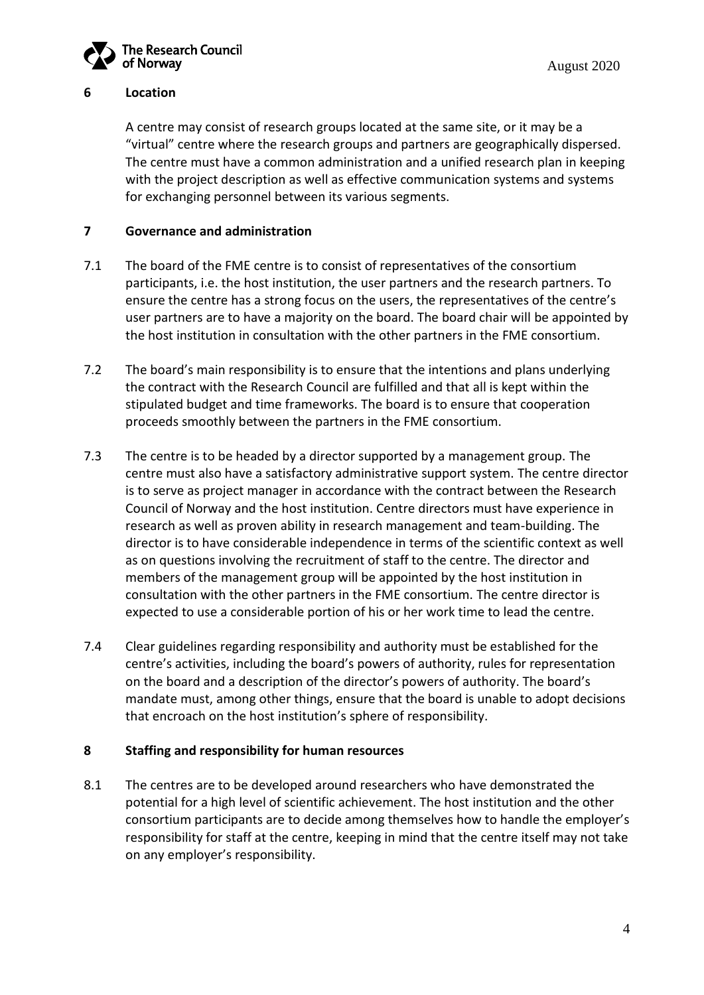

#### **6 Location**

A centre may consist of research groups located at the same site, or it may be a "virtual" centre where the research groups and partners are geographically dispersed. The centre must have a common administration and a unified research plan in keeping with the project description as well as effective communication systems and systems for exchanging personnel between its various segments.

#### **7 Governance and administration**

- 7.1 The board of the FME centre is to consist of representatives of the consortium participants, i.e. the host institution, the user partners and the research partners. To ensure the centre has a strong focus on the users, the representatives of the centre's user partners are to have a majority on the board. The board chair will be appointed by the host institution in consultation with the other partners in the FME consortium.
- 7.2 The board's main responsibility is to ensure that the intentions and plans underlying the contract with the Research Council are fulfilled and that all is kept within the stipulated budget and time frameworks. The board is to ensure that cooperation proceeds smoothly between the partners in the FME consortium.
- 7.3 The centre is to be headed by a director supported by a management group. The centre must also have a satisfactory administrative support system. The centre director is to serve as project manager in accordance with the contract between the Research Council of Norway and the host institution. Centre directors must have experience in research as well as proven ability in research management and team-building. The director is to have considerable independence in terms of the scientific context as well as on questions involving the recruitment of staff to the centre. The director and members of the management group will be appointed by the host institution in consultation with the other partners in the FME consortium. The centre director is expected to use a considerable portion of his or her work time to lead the centre.
- 7.4 Clear guidelines regarding responsibility and authority must be established for the centre's activities, including the board's powers of authority, rules for representation on the board and a description of the director's powers of authority. The board's mandate must, among other things, ensure that the board is unable to adopt decisions that encroach on the host institution's sphere of responsibility.

#### **8 Staffing and responsibility for human resources**

8.1 The centres are to be developed around researchers who have demonstrated the potential for a high level of scientific achievement. The host institution and the other consortium participants are to decide among themselves how to handle the employer's responsibility for staff at the centre, keeping in mind that the centre itself may not take on any employer's responsibility.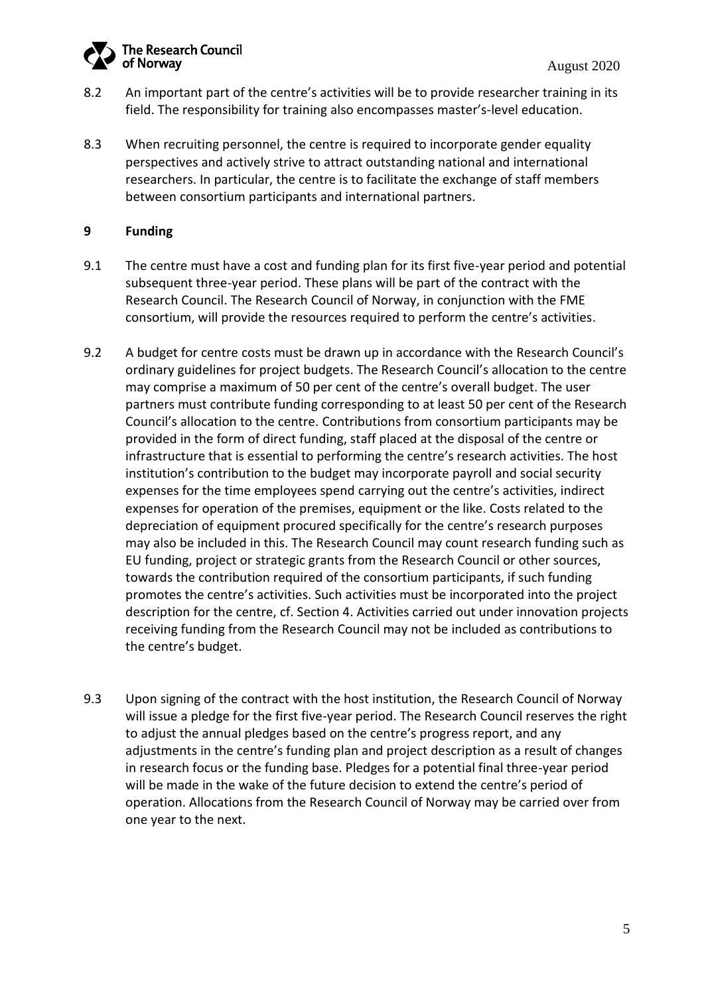

- 8.2 An important part of the centre's activities will be to provide researcher training in its field. The responsibility for training also encompasses master's-level education.
- 8.3 When recruiting personnel, the centre is required to incorporate gender equality perspectives and actively strive to attract outstanding national and international researchers. In particular, the centre is to facilitate the exchange of staff members between consortium participants and international partners.

#### **9 Funding**

- 9.1 The centre must have a cost and funding plan for its first five-year period and potential subsequent three-year period. These plans will be part of the contract with the Research Council. The Research Council of Norway, in conjunction with the FME consortium, will provide the resources required to perform the centre's activities.
- 9.2 A budget for centre costs must be drawn up in accordance with the Research Council's ordinary guidelines for project budgets. The Research Council's allocation to the centre may comprise a maximum of 50 per cent of the centre's overall budget. The user partners must contribute funding corresponding to at least 50 per cent of the Research Council's allocation to the centre. Contributions from consortium participants may be provided in the form of direct funding, staff placed at the disposal of the centre or infrastructure that is essential to performing the centre's research activities. The host institution's contribution to the budget may incorporate payroll and social security expenses for the time employees spend carrying out the centre's activities, indirect expenses for operation of the premises, equipment or the like. Costs related to the depreciation of equipment procured specifically for the centre's research purposes may also be included in this. The Research Council may count research funding such as EU funding, project or strategic grants from the Research Council or other sources, towards the contribution required of the consortium participants, if such funding promotes the centre's activities. Such activities must be incorporated into the project description for the centre, cf. Section 4. Activities carried out under innovation projects receiving funding from the Research Council may not be included as contributions to the centre's budget.
- 9.3 Upon signing of the contract with the host institution, the Research Council of Norway will issue a pledge for the first five-year period. The Research Council reserves the right to adjust the annual pledges based on the centre's progress report, and any adjustments in the centre's funding plan and project description as a result of changes in research focus or the funding base. Pledges for a potential final three-year period will be made in the wake of the future decision to extend the centre's period of operation. Allocations from the Research Council of Norway may be carried over from one year to the next.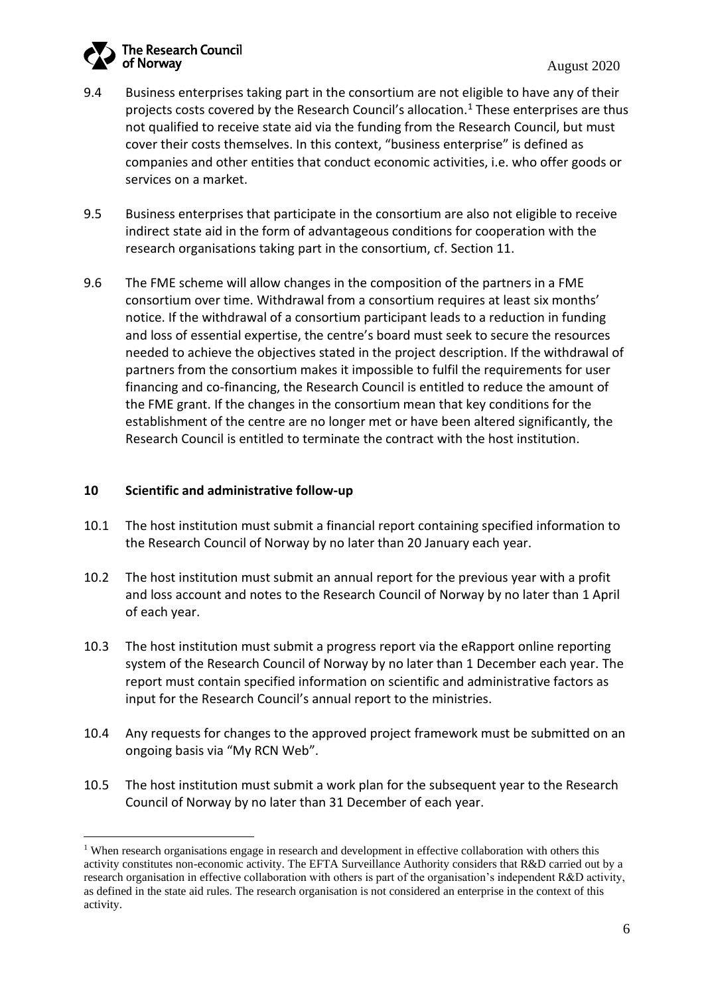- 9.4 Business enterprises taking part in the consortium are not eligible to have any of their projects costs covered by the Research Council's allocation.<sup>1</sup> These enterprises are thus not qualified to receive state aid via the funding from the Research Council, but must cover their costs themselves. In this context, "business enterprise" is defined as companies and other entities that conduct economic activities, i.e. who offer goods or services on a market.
- 9.5 Business enterprises that participate in the consortium are also not eligible to receive indirect state aid in the form of advantageous conditions for cooperation with the research organisations taking part in the consortium, cf. Section 11.
- 9.6 The FME scheme will allow changes in the composition of the partners in a FME consortium over time. Withdrawal from a consortium requires at least six months' notice. If the withdrawal of a consortium participant leads to a reduction in funding and loss of essential expertise, the centre's board must seek to secure the resources needed to achieve the objectives stated in the project description. If the withdrawal of partners from the consortium makes it impossible to fulfil the requirements for user financing and co-financing, the Research Council is entitled to reduce the amount of the FME grant. If the changes in the consortium mean that key conditions for the establishment of the centre are no longer met or have been altered significantly, the Research Council is entitled to terminate the contract with the host institution.

#### **10 Scientific and administrative follow-up**

- 10.1 The host institution must submit a financial report containing specified information to the Research Council of Norway by no later than 20 January each year.
- 10.2 The host institution must submit an annual report for the previous year with a profit and loss account and notes to the Research Council of Norway by no later than 1 April of each year.
- 10.3 The host institution must submit a progress report via the eRapport online reporting system of the Research Council of Norway by no later than 1 December each year. The report must contain specified information on scientific and administrative factors as input for the Research Council's annual report to the ministries.
- 10.4 Any requests for changes to the approved project framework must be submitted on an ongoing basis via "My RCN Web".
- 10.5 The host institution must submit a work plan for the subsequent year to the Research Council of Norway by no later than 31 December of each year.

<sup>&</sup>lt;sup>1</sup> When research organisations engage in research and development in effective collaboration with others this activity constitutes non-economic activity. The EFTA Surveillance Authority considers that R&D carried out by a research organisation in effective collaboration with others is part of the organisation's independent R&D activity, as defined in the state aid rules. The research organisation is not considered an enterprise in the context of this activity.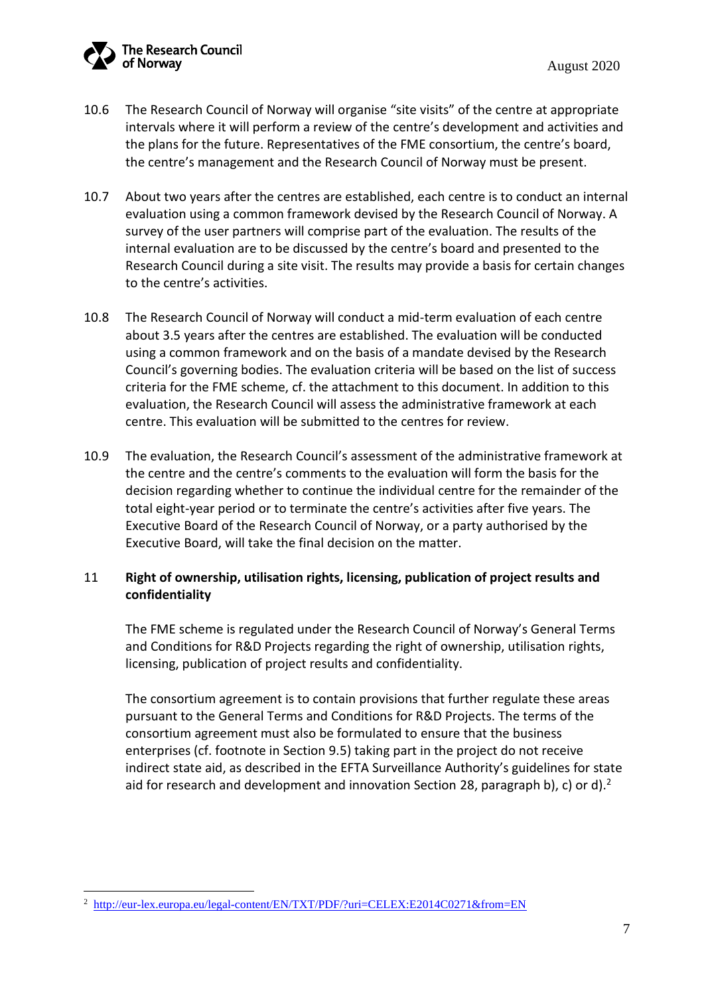

- 10.6 The Research Council of Norway will organise "site visits" of the centre at appropriate intervals where it will perform a review of the centre's development and activities and the plans for the future. Representatives of the FME consortium, the centre's board, the centre's management and the Research Council of Norway must be present.
- 10.7 About two years after the centres are established, each centre is to conduct an internal evaluation using a common framework devised by the Research Council of Norway. A survey of the user partners will comprise part of the evaluation. The results of the internal evaluation are to be discussed by the centre's board and presented to the Research Council during a site visit. The results may provide a basis for certain changes to the centre's activities.
- 10.8 The Research Council of Norway will conduct a mid-term evaluation of each centre about 3.5 years after the centres are established. The evaluation will be conducted using a common framework and on the basis of a mandate devised by the Research Council's governing bodies. The evaluation criteria will be based on the list of success criteria for the FME scheme, cf. the attachment to this document. In addition to this evaluation, the Research Council will assess the administrative framework at each centre. This evaluation will be submitted to the centres for review.
- 10.9 The evaluation, the Research Council's assessment of the administrative framework at the centre and the centre's comments to the evaluation will form the basis for the decision regarding whether to continue the individual centre for the remainder of the total eight-year period or to terminate the centre's activities after five years. The Executive Board of the Research Council of Norway, or a party authorised by the Executive Board, will take the final decision on the matter.

#### 11 **Right of ownership, utilisation rights, licensing, publication of project results and confidentiality**

The FME scheme is regulated under the Research Council of Norway's General Terms and Conditions for R&D Projects regarding the right of ownership, utilisation rights, licensing, publication of project results and confidentiality.

The consortium agreement is to contain provisions that further regulate these areas pursuant to the General Terms and Conditions for R&D Projects. The terms of the consortium agreement must also be formulated to ensure that the business enterprises (cf. footnote in Section 9.5) taking part in the project do not receive indirect state aid, as described in the EFTA Surveillance Authority's guidelines for state aid for research and development and innovation Section 28, paragraph b), c) or d).<sup>2</sup>

<sup>&</sup>lt;sup>2</sup> <http://eur-lex.europa.eu/legal-content/EN/TXT/PDF/?uri=CELEX:E2014C0271&from=EN>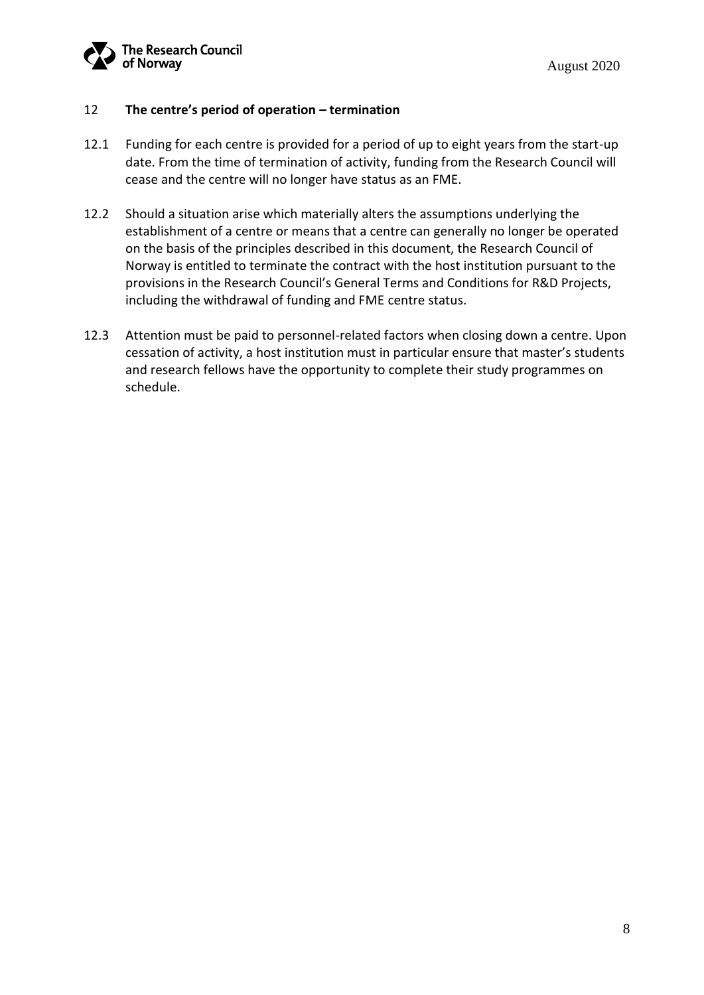

#### 12 **The centre's period of operation – termination**

- 12.1 Funding for each centre is provided for a period of up to eight years from the start-up date. From the time of termination of activity, funding from the Research Council will cease and the centre will no longer have status as an FME.
- 12.2 Should a situation arise which materially alters the assumptions underlying the establishment of a centre or means that a centre can generally no longer be operated on the basis of the principles described in this document, the Research Council of Norway is entitled to terminate the contract with the host institution pursuant to the provisions in the Research Council's General Terms and Conditions for R&D Projects, including the withdrawal of funding and FME centre status.
- 12.3 Attention must be paid to personnel-related factors when closing down a centre. Upon cessation of activity, a host institution must in particular ensure that master's students and research fellows have the opportunity to complete their study programmes on schedule.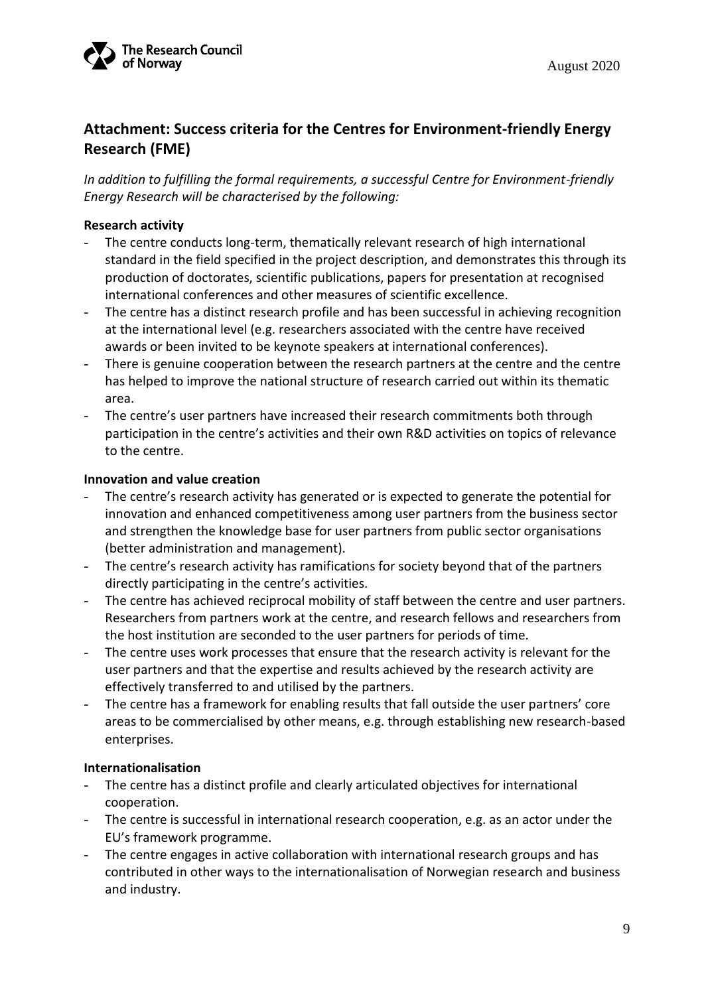

## **Attachment: Success criteria for the Centres for Environment-friendly Energy Research (FME)**

*In addition to fulfilling the formal requirements, a successful Centre for Environment-friendly Energy Research will be characterised by the following:* 

#### **Research activity**

- The centre conducts long-term, thematically relevant research of high international standard in the field specified in the project description, and demonstrates this through its production of doctorates, scientific publications, papers for presentation at recognised international conferences and other measures of scientific excellence.
- The centre has a distinct research profile and has been successful in achieving recognition at the international level (e.g. researchers associated with the centre have received awards or been invited to be keynote speakers at international conferences).
- There is genuine cooperation between the research partners at the centre and the centre has helped to improve the national structure of research carried out within its thematic area.
- The centre's user partners have increased their research commitments both through participation in the centre's activities and their own R&D activities on topics of relevance to the centre.

#### **Innovation and value creation**

- The centre's research activity has generated or is expected to generate the potential for innovation and enhanced competitiveness among user partners from the business sector and strengthen the knowledge base for user partners from public sector organisations (better administration and management).
- The centre's research activity has ramifications for society beyond that of the partners directly participating in the centre's activities.
- The centre has achieved reciprocal mobility of staff between the centre and user partners. Researchers from partners work at the centre, and research fellows and researchers from the host institution are seconded to the user partners for periods of time.
- The centre uses work processes that ensure that the research activity is relevant for the user partners and that the expertise and results achieved by the research activity are effectively transferred to and utilised by the partners.
- The centre has a framework for enabling results that fall outside the user partners' core areas to be commercialised by other means, e.g. through establishing new research-based enterprises.

#### **Internationalisation**

- The centre has a distinct profile and clearly articulated objectives for international cooperation.
- The centre is successful in international research cooperation, e.g. as an actor under the EU's framework programme.
- The centre engages in active collaboration with international research groups and has contributed in other ways to the internationalisation of Norwegian research and business and industry.